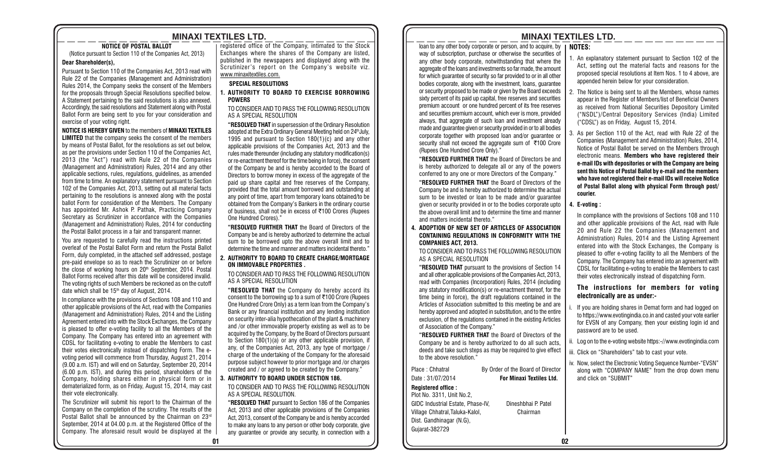# **MINAXI TEXTILES LTD. MINAXI TEXTILES LTD.**

**NOTICE OF POSTAL BALLOT**

(Notice pursuant to Section 110 of the Companies Act, 2013)

#### **Dear Shareholder(s),**

Pursuant to Section 110 of the Companies Act, 2013 read with Rule 22 of the Companies (Management and Administration) Rules 2014, the Company seeks the consent of the Members for the proposals through Special Resolutions specified below. A Statement pertaining to the said resolutions is also annexed. Accordingly, the said resolutions and Statement along with Postal Ballot Form are being sent to you for your consideration and exercise of your voting right.

#### **NOTICE IS HEREBY GIVEN** to the members of **MINAXI TEXTILES**

**LIMITED** that the company seeks the consent of the members by means of Postal Ballot, for the resolutions as set out below, as per the provisions under Section 110 of the Companies Act, 2013 (the "Act") read with Rule 22 of the Companies (Management and Administration) Rules, 2014 and any other applicable sections, rules, regulations, guidelines, as amended from time to time. An explanatory statement pursuant to Section 102 of the Companies Act, 2013, setting out all material facts pertaining to the resolutions is annexed along with the postal ballot Form for consideration of the Members. The Company has appointed Mr. Ashok P. Pathak, Practicing Company Secretary as Scrutinizer in accordance with the Companies (Management and Administration) Rules, 2014 for conducting the Postal Ballot process in a fair and transparent manner.

You are requested to carefully read the instructions printed overleaf of the Postal Ballot Form and return the Postal Ballot Form, duly completed, in the attached self addressed, postage pre-paid envelope so as to reach the Scrutinizer on or before the close of working hours on 20<sup>th</sup> September, 2014. Postal Ballot Forms received after this date will be considered invalid. The voting rights of such Members be reckoned as on the cutoff date which shall be 15th day of August, 2014.

In compliance with the provisions of Sections 108 and 110 and other applicable provisions of the Act, read with the Companies (Management and Administration) Rules, 2014 and the Listing Agreement entered into with the Stock Exchanges, the Company is pleased to offer e-voting facility to all the Members of the Company. The Company has entered into an agreement with CDSL for facilitating e-voting to enable the Members to cast their votes electronically instead of dispatching Form. The evoting period will commence from Thursday, August 21, 2014 (9.00 a.m. IST) and will end on Saturday, September 20, 2014 (6.00 p.m. IST), and during this period, shareholders of the Company, holding shares either in physical form or in dematerialized form, as on Friday, August 15, 2014, may cast their vote electronically.

The Scrutinizer will submit his report to the Chairman of the Company on the completion of the scrutiny. The results of the Postal Ballot shall be announced by the Chairman on 23rd September, 2014 at 04.00 p.m. at the Registered Office of the Company. The aforesaid result would be displayed at the registered office of the Company, intimated to the Stock Exchanges where the shares of the Company are listed, published in the newspapers and displayed along with the Scrutinizer's report on the Company's website viz. www.minaxitextiles.com.

#### **SPECIAL RESOLUTIONS**

**1. AUTHORITY TO BOARD TO EXERCISE BORROWING POWERS**

TO CONSIDER AND TO PASS THE FOLLOWING RESOLUTION AS A SPECIAL RESOLUTION

**"RESOLVED THAT** in supersession of the Ordinary Resolution adopted at the Extra Ordinary General Meeting held on 24<sup>th</sup> July, 1995 and pursuant to Section 180(1)(c) and any other applicable provisions of the Companies Act, 2013 and the rules made thereunder (including any statutory modification(s) or re-enactment thereof for the time being in force), the consent of the Company be and is hereby accorded to the Board of Directors to borrow money in excess of the aggregate of the paid up share capital and free reserves of the Company, provided that the total amount borrowed and outstanding at any point of time, apart from temporary loans obtained/to be obtained from the Company's Bankers in the ordinary course of business, shall not be in excess of ₹100 Crores (Rupees One Hundred Crores)."

**"RESOLVED FURTHER THAT** the Board of Directors of the Company be and is hereby authorized to determine the actual sum to be borrowed upto the above overall limit and to determine the time and manner and matters incidental thereto."

#### **2. AUTHORITY TO BOARD TO CREATE CHARGE/MORTGAGE ON IMMOVABLE PROPERTIES .**

TO CONSIDER AND TO PASS THE FOLLOWING RESOLUTION AS A SPECIAL RESOLUTION

**"RESOLVED THAT** the Company do hereby accord its consent to the borrowing up to a sum of  $\bar{\tau}$ 100 Crore (Rupees One Hundred Crore Only) as a term loan from the Company's Bank or any financial institution and any lending institution on security inter-alia hypothecation of the plant & machinery and /or other immovable property existing as well as to be acquired by the Company, by the Board of Directors pursuant to Section 180(1)(a) or any other applicable provision, if any, of the Companies Act, 2013, any type of mortgage / charge of the undertaking of the Company for the aforesaid purpose subject however to prior mortgage and /or charges created and / or agreed to be created by the Company."

#### **3. AUTHORITY TO BOARD UNDER SECTION 186.**

TO CONSIDER AND TO PASS THE FOLLOWING RESOLUTION AS A SPECIAL RESOLUTION.

**"RESOLVED THAT** pursuant to Section 186 of the Companies Act, 2013 and other applicable provisions of the Companies Act, 2013, consent of the Company be and is hereby accorded to make any loans to any person or other body corporate, give any guarantee or provide any security, in connection with a

loan to any other body corporate or person, and to acquire, by **| NOTES:** way of subscription, purchase or otherwise the securities of any other body corporate, notwithstanding that where the aggregate of the loans and investments so far made, the amount for which guarantee of security so far provided to or in all other bodies corporate, along with the investment, loans, guarantee or security proposed to be made or given by the Board exceeds sixty percent of its paid up capital, free reserves and securities premium account or one hundred percent of its free reserves and securities premium account, which ever is more, provided always, that aggregate of such loan and investment already made and guarantee given or security provided in or to all bodies corporate together with proposed loan and/or guarantee or security shall not exceed the aggregate sum of  $\bar{\tau}$ 100 Crore (Rupees One Hundred Crore Only)."

**"RESOLVED FURTHER THAT** the Board of Directors be and is hereby authorized to delegate all or any of the powers conferred to any one or more Directors of the Company."

**"RESOLVED FURTHER THAT** the Board of Directors of the Company be and is hereby authorized to determine the actual sum to be invested or loan to be made and/or guarantee given or security provided in or to the bodies corporate upto the above overall limit and to determine the time and manner and matters incidental thereto."

**4. ADOPTION OF NEW SET OF ARTICLES OF ASSOCIATION CONTAINING REGULATIONS IN CONFORMITY WITH THE COMPANIES ACT, 2013.**

TO CONSIDER AND TO PASS THE FOLLOWING RESOLUTION AS A SPECIAL RESOLUTION

**"RESOLVED THAT** pursuant to the provisions of Section 14 and all other applicable provisions of the Companies Act, 2013, read with Companies (Incorporation) Rules, 2014 (including any statutory modification(s) or re-enactment thereof, for the time being in force), the draft regulations contained in the Articles of Association submitted to this meeting be and are hereby approved and adopted in substitution, and to the entire exclusion, of the regulations contained in the existing Articles of Association of the Company."

**"RESOLVED FURTHER THAT** the Board of Directors of the Company be and is hereby authorized to do all such acts, deeds and take such steps as may be required to give effect to the above resolution."

Place : Chhatral By Order of the Board of Director Date : 31/07/2014 **For Minaxi Textiles Ltd.**

# **Registered office :**

Plot No. 3311, Unit No.2, GIDC Industrial Estate, Phase-IV, Dineshbhai P. Patel Village Chhatral,Taluka-Kalol, Chairman Dist. Gandhinagar (N.G), Gujarat-382729

- 1. An explanatory statement pursuant to Section 102 of the Act, setting out the material facts and reasons for the proposed special resolutions at Item Nos. 1 to 4 above, are appended herein below for your consideration.
- 2. The Notice is being sent to all the Members, whose names appear in the Register of Members/list of Beneficial Owners as received from National Securities Depository Limited ("NSDL")/Central Depository Services (India) Limited ("CDSL") as on Friday, August 15, 2014.
- 3. As per Section 110 of the Act, read with Rule 22 of the Companies (Management and Administration) Rules, 2014, Notice of Postal Ballot be served on the Members through electronic means. **Members who have registered their e-mail IDs with depositories or with the Company are being sent this Notice of Postal Ballot by e-mail and the members who have not registered their e-mail IDs will receive Notice of Postal Ballot along with physical Form through post/ courier.**

#### **4. E-voting :**

In compliance with the provisions of Sections 108 and 110 and other applicable provisions of the Act, read with Rule 20 and Rule 22 the Companies (Management and Administration) Rules, 2014 and the Listing Agreement entered into with the Stock Exchanges, the Company is pleased to offer e-voting facility to all the Members of the Company. The Company has entered into an agreement with CDSL for facilitating e-voting to enable the Members to cast their votes electronically instead of dispatching Form.

**The instructions for members for voting electronically are as under:-**

- If you are holding shares in Demat form and had logged on to https://www.evotingindia.co.in and casted your vote earlier for EVSN of any Company, then your existing login id and password are to be used.
- ii. Log on to the e-voting website https:-//www.evotingindia.com
- iii. Click on "Shareholders" tab to cast your vote.
- iv. Now, select the Electronic Voting Sequence Number-"EVSN" along with "COMPANY NAME" from the drop down menu and click on "SUBMIT"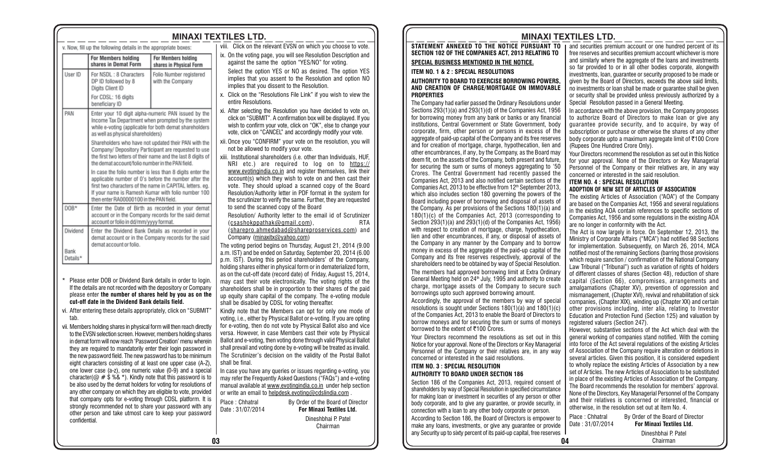|                                                                                                                                                                                                                                                                                                                                                                                                                                                                                                                                                                                                                                                                                                                                                                                                                                                                                                                                                                                |                                                                                                                                                                                                                                  |                                                                                                             | <b>MINAXI TEXTILES LTD.</b>                                                                                                                                                                                                                                                                                                                                                                                                                                                              |  |  |
|--------------------------------------------------------------------------------------------------------------------------------------------------------------------------------------------------------------------------------------------------------------------------------------------------------------------------------------------------------------------------------------------------------------------------------------------------------------------------------------------------------------------------------------------------------------------------------------------------------------------------------------------------------------------------------------------------------------------------------------------------------------------------------------------------------------------------------------------------------------------------------------------------------------------------------------------------------------------------------|----------------------------------------------------------------------------------------------------------------------------------------------------------------------------------------------------------------------------------|-------------------------------------------------------------------------------------------------------------|------------------------------------------------------------------------------------------------------------------------------------------------------------------------------------------------------------------------------------------------------------------------------------------------------------------------------------------------------------------------------------------------------------------------------------------------------------------------------------------|--|--|
|                                                                                                                                                                                                                                                                                                                                                                                                                                                                                                                                                                                                                                                                                                                                                                                                                                                                                                                                                                                | v. Now, fill up the following details in the appropriate boxes:                                                                                                                                                                  |                                                                                                             | viii. Click on the relevant EVSN on which you choose to vote.                                                                                                                                                                                                                                                                                                                                                                                                                            |  |  |
|                                                                                                                                                                                                                                                                                                                                                                                                                                                                                                                                                                                                                                                                                                                                                                                                                                                                                                                                                                                | For Members holding<br>shares in Demat Form                                                                                                                                                                                      | For Members holding<br>shares in Physical Form                                                              | ix. On the voting page, you will see Resolution Description and<br>against the same the option "YES/NO" for voting.                                                                                                                                                                                                                                                                                                                                                                      |  |  |
| User ID                                                                                                                                                                                                                                                                                                                                                                                                                                                                                                                                                                                                                                                                                                                                                                                                                                                                                                                                                                        | For NSDL: 8 Characters<br>DP ID followed by 8<br>Digits Client ID                                                                                                                                                                | Folio Number registered<br>with the Company                                                                 | Select the option YES or NO as desired. The option YES<br>implies that you assent to the Resolution and option NO<br>implies that you dissent to the Resolution.                                                                                                                                                                                                                                                                                                                         |  |  |
|                                                                                                                                                                                                                                                                                                                                                                                                                                                                                                                                                                                                                                                                                                                                                                                                                                                                                                                                                                                | For CDSL: 16 digits<br>beneficiary ID                                                                                                                                                                                            |                                                                                                             | x. Click on the "Resolutions File Link" if you wish to view the<br>entire Resolutions.                                                                                                                                                                                                                                                                                                                                                                                                   |  |  |
| PAN<br>Enter your 10 digit alpha-numeric PAN issued by the<br>Income Tax Department when prompted by the system<br>while e-voting (applicable for both demat shareholders<br>as well as physical shareholders)                                                                                                                                                                                                                                                                                                                                                                                                                                                                                                                                                                                                                                                                                                                                                                 |                                                                                                                                                                                                                                  |                                                                                                             | xi. After selecting the Resolution you have decided to vote on,<br>click on "SUBMIT". A confirmation box will be displayed. If you<br>wish to confirm your vote, click on "OK", else to change your<br>vote, click on "CANCEL" and accordingly modify your vote.                                                                                                                                                                                                                         |  |  |
|                                                                                                                                                                                                                                                                                                                                                                                                                                                                                                                                                                                                                                                                                                                                                                                                                                                                                                                                                                                | Shareholders who have not updated their PAN with the<br>Company/ Depository Participant are requested to use<br>the first two letters of their name and the last 8 digits of<br>the demat account/folio number in the PAN field. |                                                                                                             | xii. Once you "CONFIRM" your vote on the resolution, you will<br>not be allowed to modify your vote.<br>xiii. Institutional shareholders (i.e. other than Individuals, HUF,<br>NRI etc.) are required to log on to https://                                                                                                                                                                                                                                                              |  |  |
| In case the folio number is less than 8 digits enter the<br>applicable number of 0's before the number after the<br>first two characters of the name in CAPITAL letters. eg.<br>If your name is Ramesh Kumar with folio number 100<br>then enter RA00000100 in the PAN field.<br>DOB*<br>Enter the Date of Birth as recorded in your demat                                                                                                                                                                                                                                                                                                                                                                                                                                                                                                                                                                                                                                     |                                                                                                                                                                                                                                  |                                                                                                             | www.evotingindia.co.in and register themselves, link their<br>account(s) which they wish to vote on and then cast their<br>vote. They should upload a scanned copy of the Board<br>Resolution/Authority letter in PDF format in the system for<br>the scrutinizer to verify the same. Further, they are requested<br>to send the scanned copy of the Board                                                                                                                               |  |  |
|                                                                                                                                                                                                                                                                                                                                                                                                                                                                                                                                                                                                                                                                                                                                                                                                                                                                                                                                                                                | account or folio in dd/mm/yyyy format.                                                                                                                                                                                           | account or in the Company records for the said demat                                                        | Resolution/ Authority letter to the email id of Scrutinizer<br>(csashokppathak@gmail.com),<br>RTA<br>(sharepro.ahmedabad@shareproservices.com) and<br>Company (minaxitx@yahoo.com)                                                                                                                                                                                                                                                                                                       |  |  |
| Dividend                                                                                                                                                                                                                                                                                                                                                                                                                                                                                                                                                                                                                                                                                                                                                                                                                                                                                                                                                                       |                                                                                                                                                                                                                                  | Enter the Dividend Bank Details as recorded in your<br>demat account or in the Company records for the said |                                                                                                                                                                                                                                                                                                                                                                                                                                                                                          |  |  |
| Bank<br>Details*                                                                                                                                                                                                                                                                                                                                                                                                                                                                                                                                                                                                                                                                                                                                                                                                                                                                                                                                                               | demat account or folio.                                                                                                                                                                                                          |                                                                                                             | The voting period begins on Thursday, August 21, 2014 (9.00<br>a.m. IST) and be ended on Saturday, September 20, 2014 (6.00<br>p.m. IST). During this period shareholders' of the Company.<br>holding shares either in physical form or in dematerialized form,                                                                                                                                                                                                                          |  |  |
| Please enter DOB or Dividend Bank details in order to login.<br>If the details are not recorded with the depository or Company<br>please enter the number of shares held by you as on the<br>cut-off date in the Dividend Bank details field.                                                                                                                                                                                                                                                                                                                                                                                                                                                                                                                                                                                                                                                                                                                                  |                                                                                                                                                                                                                                  |                                                                                                             | as on the cut-off date (record date) of Friday, August 15, 2014,<br>may cast their vote electronically. The voting rights of the<br>shareholders shall be in proportion to their shares of the paid<br>up equity share capital of the company. The e-voting module<br>shall be disabled by CDSL for voting thereafter.                                                                                                                                                                   |  |  |
| vi. After entering these details appropriately, click on "SUBMIT"<br>tab.<br>vii. Members holding shares in physical form will then reach directly<br>to the EVSN selection screen. However, members holding shares<br>in demat form will now reach 'Password Creation' menu wherein<br>they are required to mandatorily enter their login password in<br>the new password field. The new password has to be minimum<br>eight characters consisting of at least one upper case (A-Z),<br>one lower case (a-z), one numeric value (0-9) and a special<br>character( $@$ # $\dot{\$}$ %& $*$ ). Kindly note that this password is to<br>be also used by the demat holders for voting for resolutions of<br>any other company on which they are eligible to vote, provided<br>that company opts for e-voting through CDSL platform. It is<br>strongly recommended not to share your password with any<br>other person and take utmost care to keep your password<br>confidential. |                                                                                                                                                                                                                                  |                                                                                                             | Kindly note that the Members can opt for only one mode of<br>voting, i.e., either by Physical Ballot or e-voting. If you are opting<br>for e-voting, then do not vote by Physical Ballot also and vice<br>versa. However, in case Members cast their vote by Physical<br>Ballot and e-voting, then voting done through valid Physical Ballot<br>shall prevail and voting done by e-voting will be treated as invalid.<br>The Scrutinizer's decision on the validity of the Postal Ballot |  |  |
|                                                                                                                                                                                                                                                                                                                                                                                                                                                                                                                                                                                                                                                                                                                                                                                                                                                                                                                                                                                |                                                                                                                                                                                                                                  |                                                                                                             | shall be final.<br>In case you have any queries or issues regarding e-voting, you<br>may refer the Frequently Asked Questions ("FAQs") and e-voting<br>manual available at www.evotingindia.co.in under help section<br>or write an email to helpdesk.evoting@cdslindia.com.<br>Place: Chhatral<br>By Order of the Board of Director                                                                                                                                                     |  |  |
|                                                                                                                                                                                                                                                                                                                                                                                                                                                                                                                                                                                                                                                                                                                                                                                                                                                                                                                                                                                |                                                                                                                                                                                                                                  |                                                                                                             | Date: 31/07/2014<br><b>For Minaxi Textiles Ltd.</b><br>Dineshbhai P. Patel                                                                                                                                                                                                                                                                                                                                                                                                               |  |  |
|                                                                                                                                                                                                                                                                                                                                                                                                                                                                                                                                                                                                                                                                                                                                                                                                                                                                                                                                                                                |                                                                                                                                                                                                                                  |                                                                                                             | Chairman                                                                                                                                                                                                                                                                                                                                                                                                                                                                                 |  |  |
|                                                                                                                                                                                                                                                                                                                                                                                                                                                                                                                                                                                                                                                                                                                                                                                                                                                                                                                                                                                |                                                                                                                                                                                                                                  |                                                                                                             | nз                                                                                                                                                                                                                                                                                                                                                                                                                                                                                       |  |  |

# **MINAXI TEXTILES LTD. MINAXI TEXTILES LTD.**

#### **STATEMENT ANNEXED TO THE NOTICE PURSUANT TO SECTION 102 OF THE COMPANIES ACT, 2013 RELATING TO**

#### **SPECIAL BUSINESS MENTIONED IN THE NOTICE.**

#### **ITEM NO. 1 & 2 : SPECIAL RESOLUTIONS**

#### **AUTHORITY TO BOARD TO EXERCISE BORROWING POWERS, AND CREATION OF CHARGE/MORTGAGE ON IMMOVABLE PROPERTIES**

The Company had earlier passed the Ordinary Resolutions under Sections 293(1)(a) and 293(1)(d) of the Companies Act, 1956 for borrowing money from any bank or banks or any financial institutions, Central Government or State Government, body corporate, firm, other person or persons in excess of the aggregate of paid-up capital of the Company and its free reserves and for creation of mortgage, charge, hypothecation, lien and other encumbrances, if any, by the Company, as the Board may deem fit, on the assets of the Company, both present and future, for securing the sum or sums of moneys aggregating to '50 Crores. The Central Government had recently passed the Companies Act, 2013 and also notified certain sections of the Companies Act, 2013 to be effective from  $12<sup>th</sup>$  September 2013, which also includes section 180 governing the powers of the Board including power of borrowing and disposal of assets of the Company. As per provisions of the Sections 180(1)(a) and 180(1)(c) of the Companies Act, 2013 (corresponding to Section 293(1)(a) and 293(1)(d) of the Companies Act, 1956) with respect to creation of mortgage, charge, hypothecation, lien and other encumbrances, if any, or disposal of assets of the Company in any manner by the Company and to borrow money in excess of the aggregate of the paid-up capital of the Company and its free reserves respectively, approval of the shareholders need to be obtained by way of Special Resolution. The members had approved borrowing limit at Extra Ordinary General Meeting held on 24th July, 1995 and authority to create charge, mortgage assets of the Company to secure such borrowings upto such approved borrowing amount.

Accordingly, the approval of the members by way of special resolutions is sought under Sections 180(1)(a) and 180(1)(c) of the Companies Act, 2013 to enable the Board of Directors to borrow moneys and for securing the sum or sums of moneys borrowed to the extent of ₹100 Crores.

Your Directors recommend the resolutions as set out in this Notice for your approval. None of the Directors or Key Managerial Personnel of the Company or their relatives are, in any way concerned or interested in the said resolutions.

#### **ITEM NO. 3 : SPECIAL RESOLUTION AUTHORITY TO BOARD UNDER SECTION 186**

Section 186 of the Companies Act, 2013, required consent of shareholders by way of Special Resolution in specified circumstance for making loan or investment in securities of any person or other body corporate, and to give any guarantee, or provide security, in connection with a loan to any other body corporate or person. According to Section 186, the Board of Directors is empower to make any loans, investments, or give any guarantee or provide any Security up to sixty percent of its paid-up capital, free reserves

 $\overline{a}$  and securities premium account or one hundred percent of its free reserves and securities premium account whichever is more and similarly where the aggregate of the loans and investments so far provided to or in all other bodies corporate, alongwith investments, loan, guarantee or security proposed to be made or given by the Board of Directors, exceeds the above said limits, no investments or loan shall be made or guarantee shall be given or security shall be provided unless previously authorized by a Special Resolution passed in a General Meeting.

In accordance with the above provision, the Company proposes to authorize Board of Directors to make loan or give any guarantee provide security, and to acquire, by way of subscription or purchase or otherwise the shares of any other body corporate upto a maximum aggregate limit of  $\bar{\tau}$ 100 Crore (Rupees One Hundred Crore Only).

Your Directors recommend the resolution as set out in this Notice for your approval. None of the Directors or Key Managerial Personnel of the Company or their relatives are, in any way concerned or interested in the said resolution.

#### **ITEM NO. 4 : SPECIAL RESOLUTION ADOPTION OF NEW SET OF ARTICLES OF ASSOCIATION**

The existing Articles of Association ("AOA") of the Company are based on the Companies Act, 1956 and several regulations in the existing AOA contain references to specific sections of Companies Act, 1956 and some regulations in the existing AOA are no longer in conformity with the Act.

The Act is now largely in force. On September 12, 2013, the Ministry of Corporate Affairs ("MCA") had notified 98 Sections for implementation. Subsequently, on March 26, 2014, MCA notified most of the remaining Sections (barring those provisions which require sanction / confirmation of the National Company Law Tribunal ("Tribunal") such as variation of rights of holders of different classes of shares (Section 48), reduction of share capital (Section 66), compromises, arrangements and amalgamations (Chapter XV), prevention of oppression and mismanagement, (Chapter XVI), revival and rehabilitation of sick companies, (Chapter XIX), winding up (Chapter XX) and certain other provisions including, inter alia, relating to Investor Education and Protection Fund (Section 125) and valuation by registered valuers (Section 247).

However, substantive sections of the Act which deal with the general working of companies stand notified. With the coming into force of the Act several regulations of the existing Articles of Association of the Company require alteration or deletions in several articles. Given this position, it is considered expedient to wholly replace the existing Articles of Association by a new set of Articles. The new Articles of Association to be substituted in place of the existing Articles of Association of the Company. The Board recommends the resolution for members' approval. None of the Directors, Key Managerial Personnel of the Company and their relatives is concerned or interested, financial or otherwise, in the resolution set out at Item No. 4.

| _ _ _ _ _ _ _ _ _ _ _ _ _ _<br>Dineshbhai P. Patel<br>Chairman | <u>UVIIIIVVUVII MIUI U IVUII LV UIIV VUIVI DVUV VUIDVIULV VI DVIVVIII</u><br>According to Section 186, the Board of Directors is empower to<br>make any loans, investments, or give any quarantee or provide | Place: Chhatral<br>Date: 31/07/2014 | By Order of the Board of Director<br><b>For Minaxi Textiles Ltd.</b> |
|----------------------------------------------------------------|--------------------------------------------------------------------------------------------------------------------------------------------------------------------------------------------------------------|-------------------------------------|----------------------------------------------------------------------|
|                                                                | any Security up to sixty percent of its paid-up capital, free reserves                                                                                                                                       |                                     | Dineshbhai P. Patel                                                  |
|                                                                | 14                                                                                                                                                                                                           |                                     | Chairman                                                             |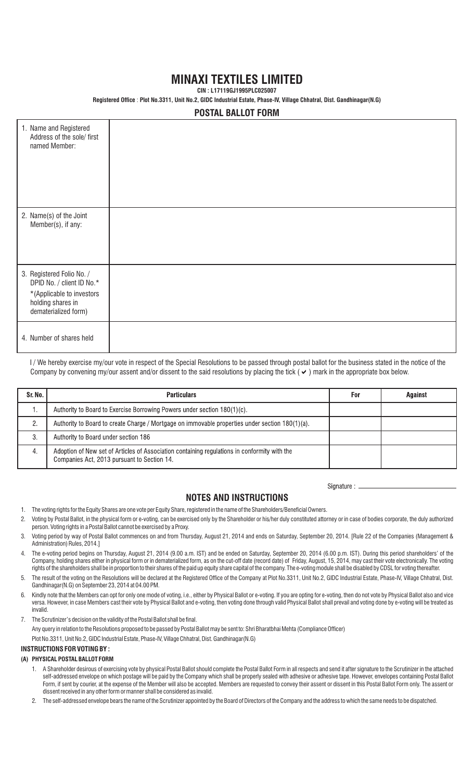# **MINAXI TEXTILES LIMITED**

**CIN : L17119GJ1995PLC025007**

**Registered Office** : **Plot No.3311, Unit No.2, GIDC Industrial Estate, Phase-IV, Village Chhatral, Dist. Gandhinagar(N.G)**

# **POSTAL BALLOT FORM**

| 1. Name and Registered<br>Address of the sole/ first<br>named Member:                                                            |  |
|----------------------------------------------------------------------------------------------------------------------------------|--|
| 2. Name(s) of the Joint<br>Member(s), if any:                                                                                    |  |
| 3. Registered Folio No. /<br>DPID No. / client ID No.*<br>*(Applicable to investors<br>holding shares in<br>dematerialized form) |  |
| 4. Number of shares held                                                                                                         |  |

I/We hereby exercise my/our vote in respect of the Special Resolutions to be passed through postal ballot for the business stated in the notice of the Company by convening my/our assent and/or dissent to the said resolutions by placing the tick ( $\vee$ ) mark in the appropriate box below.

| Sr. No. | <b>Particulars</b>                                                                                                                          | For | Against |
|---------|---------------------------------------------------------------------------------------------------------------------------------------------|-----|---------|
|         | Authority to Board to Exercise Borrowing Powers under section 180(1)(c).                                                                    |     |         |
| 2.      | Authority to Board to create Charge / Mortgage on immovable properties under section 180(1)(a).                                             |     |         |
| -3.     | Authority to Board under section 186                                                                                                        |     |         |
| -4.     | Adoption of New set of Articles of Association containing regulations in conformity with the<br>Companies Act, 2013 pursuant to Section 14. |     |         |

Signature : \_

### **NOTES AND INSTRUCTIONS**

- 1. The voting rights for the Equity Shares are one vote per Equity Share, registered in the name of the Shareholders/Beneficial Owners.
- 2. Voting by Postal Ballot, in the physical form or e-voting, can be exercised only by the Shareholder or his/her duly constituted attorney or in case of bodies corporate, the duly authorized person. Voting rights in a Postal Ballot cannot be exercised by a Proxy.
- 3. Voting period by way of Postal Ballot commences on and from Thursday, August 21, 2014 and ends on Saturday, September 20, 2014. [Rule 22 of the Companies (Management & Administration) Rules, 2014.]
- 4. The e-voting period begins on Thursday, August 21, 2014 (9.00 a.m. IST) and be ended on Saturday, September 20, 2014 (6.00 p.m. IST). During this period shareholders' of the Company, holding shares either in physical form or in dematerialized form, as on the cut-off date (record date) of Friday, August, 15, 2014, may cast their vote electronically. The voting rights of the shareholders shall be in proportion to their shares of the paid up equity share capital of the company. The e-voting module shall be disabled by CDSL for voting thereafter.
- 5. The result of the voting on the Resolutions will be declared at the Registered Office of the Company at Plot No.3311, Unit No.2, GIDC Industrial Estate, Phase-IV, Village Chhatral, Dist. Gandhinagar(N.G) on September 23, 2014 at 04.00 PM.
- 6. Kindly note that the Members can opt for only one mode of voting, i.e., either by Physical Ballot or e-voting. If you are opting for e-voting, then do not vote by Physical Ballot also and vice versa. However, in case Members cast their vote by Physical Ballot and e-voting, then voting done through valid Physical Ballot shall prevail and voting done by e-voting will be treated as invalid.

7. The Scrutinizer's decision on the validity of the Postal Ballot shall be final.

Any query in relation to the Resolutions proposed to be passed by Postal Ballot may be sent to: Shri Bharatbhai Mehta (Compliance Officer)

Plot No.3311, Unit No.2, GIDC Industrial Estate, Phase-IV, Village Chhatral, Dist. Gandhinagar(N.G)

#### **INSTRUCTIONS FOR VOTING BY :**

#### **(A) PHYSICAL POSTAL BALLOT FORM**

- 1. A Shareholder desirous of exercising vote by physical Postal Ballot should complete the Postal Ballot Form in all respects and send it after signature to the Scrutinizer in the attached self-addressed envelope on which postage will be paid by the Company which shall be properly sealed with adhesive or adhesive tape. However, envelopes containing Postal Ballot Form, if sent by courier, at the expense of the Member will also be accepted. Members are requested to convey their assent or dissent in this Postal Ballot Form only. The assent or dissent received in any other form or manner shall be considered as invalid.
- 2. The self-addressed envelope bears the name of the Scrutinizer appointed by the Board of Directors of the Company and the address to which the same needs to be dispatched.